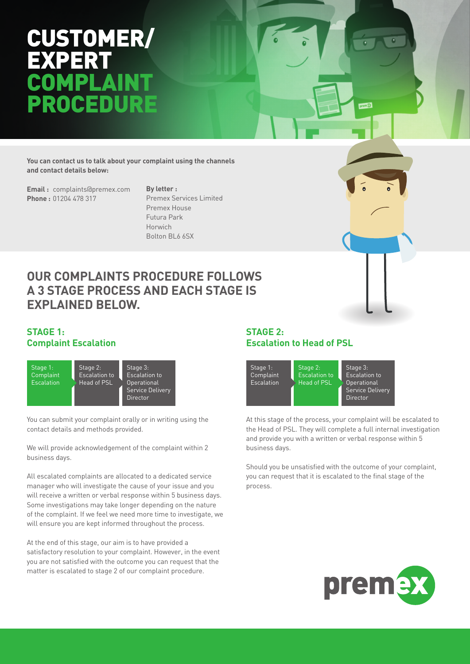## CUSTOMER/ **EXPER** OMP ROCED

**You can contact us to talk about your complaint using the channels and contact details below:**

**Email :** complaints@premex.com **Phone :** 01204 478 317

**By letter :**  Premex Services Limited Premex House Futura Park Horwich Bolton BL6 6SX

### **OUR COMPLAINTS PROCEDURE FOLLOWS A 3 STAGE PROCESS AND EACH STAGE IS EXPLAINED BELOW.**

#### **STAGE 1: Complaint Escalation**



You can submit your complaint orally or in writing using the contact details and methods provided.

We will provide acknowledgement of the complaint within 2 business days.

All escalated complaints are allocated to a dedicated service manager who will investigate the cause of your issue and you will receive a written or verbal response within 5 business days. Some investigations may take longer depending on the nature of the complaint. If we feel we need more time to investigate, we will ensure you are kept informed throughout the process.

At the end of this stage, our aim is to have provided a satisfactory resolution to your complaint. However, in the event you are not satisfied with the outcome you can request that the matter is escalated to stage 2 of our complaint procedure.

#### **STAGE 2: Escalation to Head of PSL**



At this stage of the process, your complaint will be escalated to the Head of PSL. They will complete a full internal investigation and provide you with a written or verbal response within 5 business days.

Should you be unsatisfied with the outcome of your complaint, you can request that it is escalated to the final stage of the process.